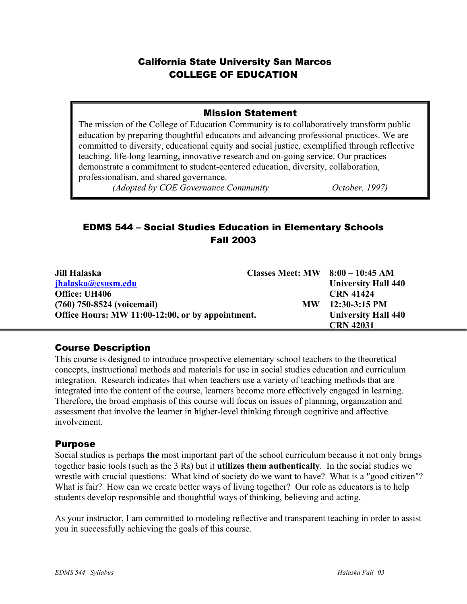## California State University San Marcos COLLEGE OF EDUCATION

#### Mission Statement

The mission of the College of Education Community is to collaboratively transform public education by preparing thoughtful educators and advancing professional practices. We are committed to diversity, educational equity and social justice, exemplified through reflective teaching, life-long learning, innovative research and on-going service. Our practices demonstrate a commitment to student-centered education, diversity, collaboration, professionalism, and shared governance.

*(Adopted by COE Governance Community October, 1997)* 

# EDMS 544 – Social Studies Education in Elementary Schools Fall 2003

| Jill Halaska                                     | Classes Meet: $MW$ 8:00 - 10:45 AM |                            |
|--------------------------------------------------|------------------------------------|----------------------------|
| jhalaska@csusm.edu                               |                                    | <b>University Hall 440</b> |
| Office: UH406                                    |                                    | <b>CRN 41424</b>           |
| (760) 750-8524 (voicemail)                       | <b>MW</b>                          | $12:30-3:15$ PM            |
| Office Hours: MW 11:00-12:00, or by appointment. |                                    | <b>University Hall 440</b> |
|                                                  |                                    | <b>CRN 42031</b>           |

## Course Description

This course is designed to introduce prospective elementary school teachers to the theoretical concepts, instructional methods and materials for use in social studies education and curriculum integration. Research indicates that when teachers use a variety of teaching methods that are integrated into the content of the course, learners become more effectively engaged in learning. Therefore, the broad emphasis of this course will focus on issues of planning, organization and assessment that involve the learner in higher-level thinking through cognitive and affective involvement.

#### Purpose

Social studies is perhaps **the** most important part of the school curriculum because it not only brings together basic tools (such as the 3 Rs) but it **utilizes them authentically**. In the social studies we wrestle with crucial questions: What kind of society do we want to have? What is a "good citizen"? What is fair? How can we create better ways of living together? Our role as educators is to help students develop responsible and thoughtful ways of thinking, believing and acting.

As your instructor, I am committed to modeling reflective and transparent teaching in order to assist you in successfully achieving the goals of this course.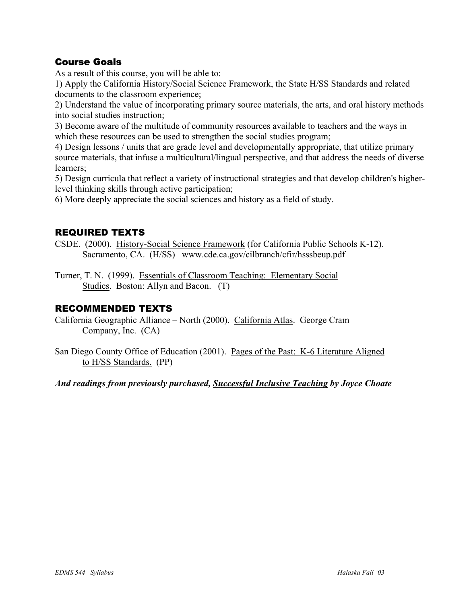## Course Goals

As a result of this course, you will be able to:

1) Apply the California History/Social Science Framework, the State H/SS Standards and related documents to the classroom experience;

2) Understand the value of incorporating primary source materials, the arts, and oral history methods into social studies instruction;

3) Become aware of the multitude of community resources available to teachers and the ways in which these resources can be used to strengthen the social studies program;

4) Design lessons / units that are grade level and developmentally appropriate, that utilize primary source materials, that infuse a multicultural/lingual perspective, and that address the needs of diverse learners;

5) Design curricula that reflect a variety of instructional strategies and that develop children's higherlevel thinking skills through active participation;

6) More deeply appreciate the social sciences and history as a field of study.

## REQUIRED TEXTS

CSDE. (2000). History-Social Science Framework (for California Public Schools K-12). Sacramento, CA. (H/SS) www.cde.ca.gov/cilbranch/cfir/hsssbeup.pdf

Turner, T. N. (1999). Essentials of Classroom Teaching: Elementary Social Studies. Boston: Allyn and Bacon. (T)

## RECOMMENDED TEXTS

California Geographic Alliance – North (2000). California Atlas. George Cram Company, Inc. (CA)

San Diego County Office of Education (2001). Pages of the Past: K-6 Literature Aligned to H/SS Standards. (PP)

*And readings from previously purchased, Successful Inclusive Teaching by Joyce Choate*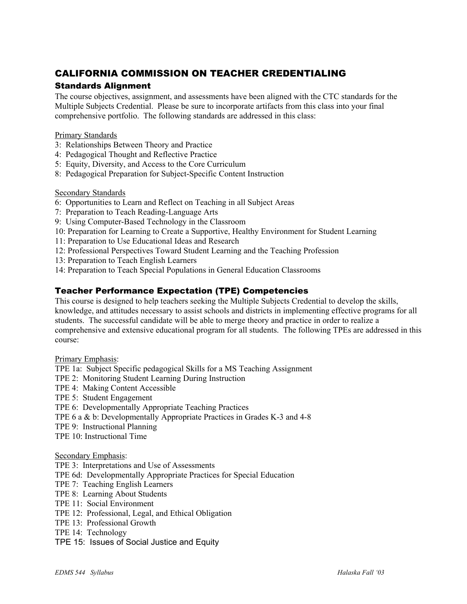# CALIFORNIA COMMISSION ON TEACHER CREDENTIALING

#### Standards Alignment

The course objectives, assignment, and assessments have been aligned with the CTC standards for the Multiple Subjects Credential. Please be sure to incorporate artifacts from this class into your final comprehensive portfolio. The following standards are addressed in this class:

#### Primary Standards

- 3: Relationships Between Theory and Practice
- 4: Pedagogical Thought and Reflective Practice
- 5: Equity, Diversity, and Access to the Core Curriculum
- 8: Pedagogical Preparation for Subject-Specific Content Instruction

#### Secondary Standards

- 6: Opportunities to Learn and Reflect on Teaching in all Subject Areas
- 7: Preparation to Teach Reading-Language Arts
- 9: Using Computer-Based Technology in the Classroom
- 10: Preparation for Learning to Create a Supportive, Healthy Environment for Student Learning
- 11: Preparation to Use Educational Ideas and Research
- 12: Professional Perspectives Toward Student Learning and the Teaching Profession
- 13: Preparation to Teach English Learners
- 14: Preparation to Teach Special Populations in General Education Classrooms

#### Teacher Performance Expectation (TPE) Competencies

This course is designed to help teachers seeking the Multiple Subjects Credential to develop the skills, knowledge, and attitudes necessary to assist schools and districts in implementing effective programs for all students. The successful candidate will be able to merge theory and practice in order to realize a comprehensive and extensive educational program for all students. The following TPEs are addressed in this course:

#### Primary Emphasis:

- TPE 1a: Subject Specific pedagogical Skills for a MS Teaching Assignment
- TPE 2: Monitoring Student Learning During Instruction
- TPE 4: Making Content Accessible
- TPE 5: Student Engagement
- TPE 6: Developmentally Appropriate Teaching Practices
- TPE 6 a & b: Developmentally Appropriate Practices in Grades K-3 and 4-8
- TPE 9: Instructional Planning
- TPE 10: Instructional Time

#### Secondary Emphasis:

- TPE 3: Interpretations and Use of Assessments
- TPE 6d: Developmentally Appropriate Practices for Special Education
- TPE 7: Teaching English Learners
- TPE 8: Learning About Students
- TPE 11: Social Environment
- TPE 12: Professional, Legal, and Ethical Obligation
- TPE 13: Professional Growth
- TPE 14: Technology
- TPE 15: Issues of Social Justice and Equity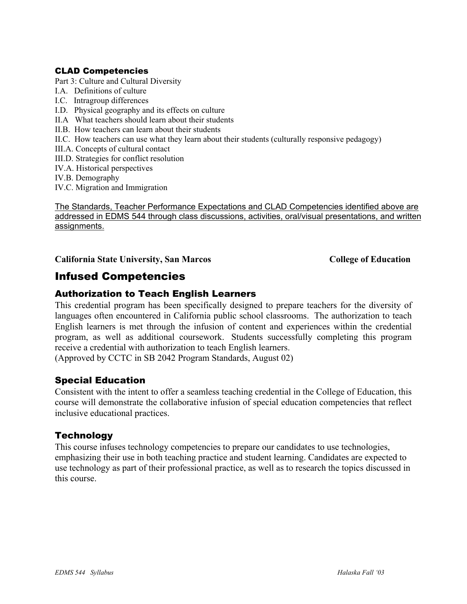#### CLAD Competencies

Part 3: Culture and Cultural Diversity

- I.A. Definitions of culture
- I.C. Intragroup differences
- I.D. Physical geography and its effects on culture
- II.A What teachers should learn about their students
- II.B. How teachers can learn about their students
- II.C. How teachers can use what they learn about their students (culturally responsive pedagogy)
- III.A. Concepts of cultural contact
- III.D. Strategies for conflict resolution
- IV.A. Historical perspectives
- IV.B. Demography
- IV.C. Migration and Immigration

The Standards, Teacher Performance Expectations and CLAD Competencies identified above are addressed in EDMS 544 through class discussions, activities, oral/visual presentations, and written assignments.

California State University, San Marcos **College of Education** 

# Infused Competencies

#### Authorization to Teach English Learners

This credential program has been specifically designed to prepare teachers for the diversity of languages often encountered in California public school classrooms. The authorization to teach English learners is met through the infusion of content and experiences within the credential program, as well as additional coursework. Students successfully completing this program receive a credential with authorization to teach English learners.

(Approved by CCTC in SB 2042 Program Standards, August 02)

#### Special Education

Consistent with the intent to offer a seamless teaching credential in the College of Education, this course will demonstrate the collaborative infusion of special education competencies that reflect inclusive educational practices.

#### **Technology**

This course infuses technology competencies to prepare our candidates to use technologies, emphasizing their use in both teaching practice and student learning. Candidates are expected to use technology as part of their professional practice, as well as to research the topics discussed in this course.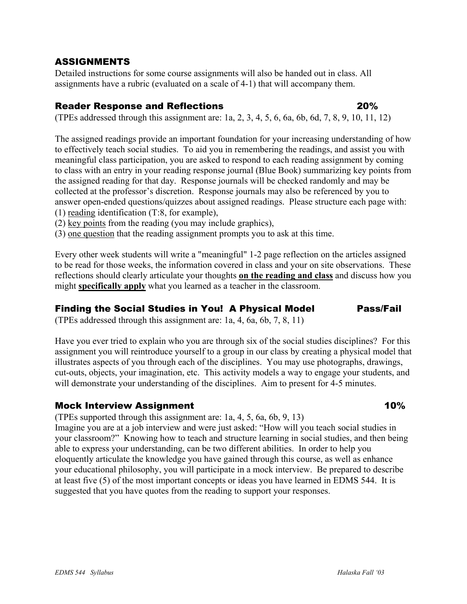## ASSIGNMENTS

Detailed instructions for some course assignments will also be handed out in class. All assignments have a rubric (evaluated on a scale of 4-1) that will accompany them.

## Reader Response and Reflections 20%

(TPEs addressed through this assignment are: 1a, 2, 3, 4, 5, 6, 6a, 6b, 6d, 7, 8, 9, 10, 11, 12)

The assigned readings provide an important foundation for your increasing understanding of how to effectively teach social studies. To aid you in remembering the readings, and assist you with meaningful class participation, you are asked to respond to each reading assignment by coming to class with an entry in your reading response journal (Blue Book) summarizing key points from the assigned reading for that day. Response journals will be checked randomly and may be collected at the professor's discretion. Response journals may also be referenced by you to answer open-ended questions/quizzes about assigned readings. Please structure each page with: (1) reading identification (T:8, for example),

(2) key points from the reading (you may include graphics),

(3) one question that the reading assignment prompts you to ask at this time.

Every other week students will write a "meaningful" 1-2 page reflection on the articles assigned to be read for those weeks, the information covered in class and your on site observations. These reflections should clearly articulate your thoughts **on the reading and class** and discuss how you might **specifically apply** what you learned as a teacher in the classroom.

## Finding the Social Studies in You! A Physical ModelPass/Fail

(TPEs addressed through this assignment are: 1a, 4, 6a, 6b, 7, 8, 11)

Have you ever tried to explain who you are through six of the social studies disciplines? For this assignment you will reintroduce yourself to a group in our class by creating a physical model that illustrates aspects of you through each of the disciplines. You may use photographs, drawings, cut-outs, objects, your imagination, etc. This activity models a way to engage your students, and will demonstrate your understanding of the disciplines. Aim to present for 4-5 minutes.

## Mock Interview Assignment **10%**

(TPEs supported through this assignment are: 1a, 4, 5, 6a, 6b, 9, 13)

Imagine you are at a job interview and were just asked: "How will you teach social studies in your classroom?" Knowing how to teach and structure learning in social studies, and then being able to express your understanding, can be two different abilities. In order to help you eloquently articulate the knowledge you have gained through this course, as well as enhance your educational philosophy, you will participate in a mock interview. Be prepared to describe at least five (5) of the most important concepts or ideas you have learned in EDMS 544. It is suggested that you have quotes from the reading to support your responses.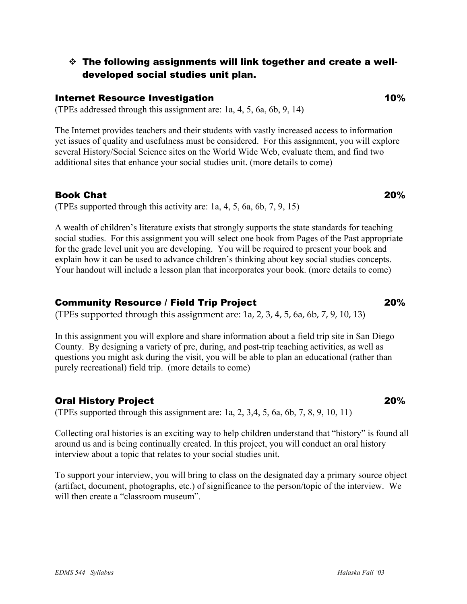## The following assignments will link together and create a welldeveloped social studies unit plan.

#### **Internet Resource Investigation 10%**

(TPEs addressed through this assignment are: 1a, 4, 5, 6a, 6b, 9, 14)

The Internet provides teachers and their students with vastly increased access to information – yet issues of quality and usefulness must be considered. For this assignment, you will explore several History/Social Science sites on the World Wide Web, evaluate them, and find two additional sites that enhance your social studies unit. (more details to come)

#### Book Chat 20%

(TPEs supported through this activity are: 1a, 4, 5, 6a, 6b, 7, 9, 15)

A wealth of children's literature exists that strongly supports the state standards for teaching social studies. For this assignment you will select one book from Pages of the Past appropriate for the grade level unit you are developing. You will be required to present your book and explain how it can be used to advance children's thinking about key social studies concepts. Your handout will include a lesson plan that incorporates your book. (more details to come)

#### Community Resource / Field Trip Project 20%

(TPEs supported through this assignment are: 1a, 2, 3, 4, 5, 6a, 6b, 7, 9, 10, 13)

In this assignment you will explore and share information about a field trip site in San Diego County. By designing a variety of pre, during, and post-trip teaching activities, as well as questions you might ask during the visit, you will be able to plan an educational (rather than purely recreational) field trip. (more details to come)

#### Oral History Project 20%

(TPEs supported through this assignment are: 1a, 2, 3,4, 5, 6a, 6b, 7, 8, 9, 10, 11)

Collecting oral histories is an exciting way to help children understand that "history" is found all around us and is being continually created. In this project, you will conduct an oral history interview about a topic that relates to your social studies unit.

To support your interview, you will bring to class on the designated day a primary source object (artifact, document, photographs, etc.) of significance to the person/topic of the interview. We will then create a "classroom museum".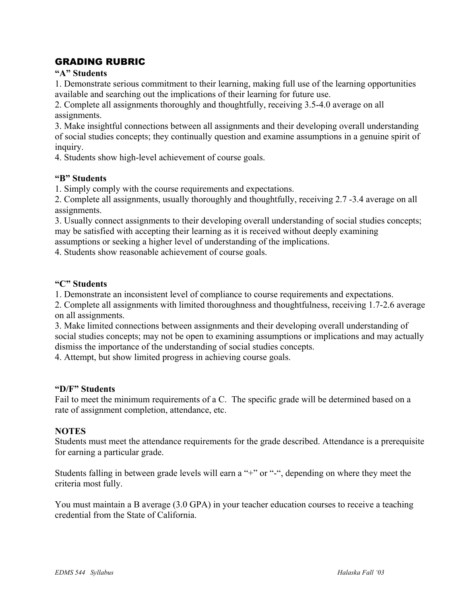## GRADING RUBRIC

#### **"A" Students**

1. Demonstrate serious commitment to their learning, making full use of the learning opportunities available and searching out the implications of their learning for future use.

2. Complete all assignments thoroughly and thoughtfully, receiving 3.5-4.0 average on all assignments.

3. Make insightful connections between all assignments and their developing overall understanding of social studies concepts; they continually question and examine assumptions in a genuine spirit of inquiry.

4. Students show high-level achievement of course goals.

#### **"B" Students**

1. Simply comply with the course requirements and expectations.

2. Complete all assignments, usually thoroughly and thoughtfully, receiving 2.7 -3.4 average on all assignments.

3. Usually connect assignments to their developing overall understanding of social studies concepts; may be satisfied with accepting their learning as it is received without deeply examining

assumptions or seeking a higher level of understanding of the implications.

4. Students show reasonable achievement of course goals.

#### **"C" Students**

1. Demonstrate an inconsistent level of compliance to course requirements and expectations.

2. Complete all assignments with limited thoroughness and thoughtfulness, receiving 1.7-2.6 average on all assignments.

3. Make limited connections between assignments and their developing overall understanding of social studies concepts; may not be open to examining assumptions or implications and may actually dismiss the importance of the understanding of social studies concepts.

4. Attempt, but show limited progress in achieving course goals.

#### **"D/F" Students**

Fail to meet the minimum requirements of a C. The specific grade will be determined based on a rate of assignment completion, attendance, etc.

#### **NOTES**

Students must meet the attendance requirements for the grade described. Attendance is a prerequisite for earning a particular grade.

Students falling in between grade levels will earn a "+" or "-", depending on where they meet the criteria most fully.

You must maintain a B average (3.0 GPA) in your teacher education courses to receive a teaching credential from the State of California.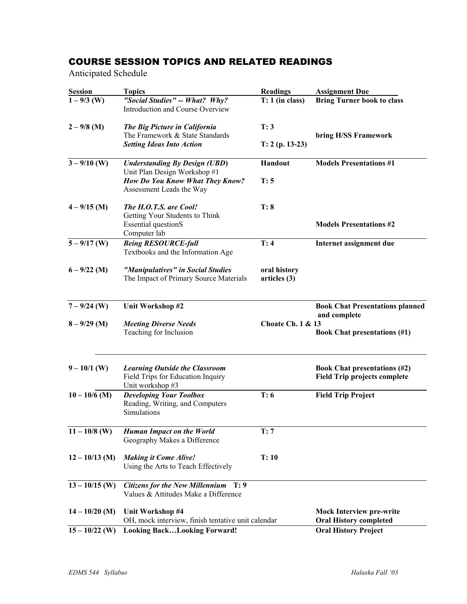## COURSE SESSION TOPICS AND RELATED READINGS

Anticipated Schedule

| <b>Session</b>   | <b>Topics</b>                                                                                  | <b>Readings</b>              | <b>Assignment Due</b>                                                      |  |
|------------------|------------------------------------------------------------------------------------------------|------------------------------|----------------------------------------------------------------------------|--|
| $1 - 9/3$ (W)    | "Social Studies" -- What? Why?<br>Introduction and Course Overview                             | $T: 1$ (in class)            | <b>Bring Turner book to class</b>                                          |  |
| $2 - 9/8$ (M)    | The Big Picture in California<br>The Framework & State Standards                               | T: 3                         | bring H/SS Framework                                                       |  |
|                  | <b>Setting Ideas Into Action</b>                                                               | $T: 2 (p. 13-23)$            |                                                                            |  |
| $3 - 9/10$ (W)   | <b>Understanding By Design (UBD)</b><br>Unit Plan Design Workshop #1                           | Handout                      | <b>Models Presentations #1</b>                                             |  |
|                  | How Do You Know What They Know?<br>Assessment Leads the Way                                    | T: 5                         |                                                                            |  |
| $4 - 9/15$ (M)   | The H.O.T.S. are Cool!<br>Getting Your Students to Think                                       | T: 8                         |                                                                            |  |
|                  | <b>Essential questionS</b><br>Computer lab                                                     |                              | <b>Models Presentations #2</b>                                             |  |
| $5 - 9/17$ (W)   | <b>Being RESOURCE-full</b><br>Textbooks and the Information Age                                | T: 4                         | Internet assignment due                                                    |  |
| $6 - 9/22$ (M)   | "Manipulatives" in Social Studies<br>The Impact of Primary Source Materials                    | oral history<br>articles (3) |                                                                            |  |
| $7 - 9/24$ (W)   | Unit Workshop #2                                                                               |                              | <b>Book Chat Presentations planned</b><br>and complete                     |  |
| $8 - 9/29$ (M)   | <b>Meeting Diverse Needs</b><br>Teaching for Inclusion                                         | <b>Choate Ch. 1 &amp; 13</b> | <b>Book Chat presentations (#1)</b>                                        |  |
| $9 - 10/1$ (W)   | <b>Learning Outside the Classroom</b><br>Field Trips for Education Inquiry<br>Unit workshop #3 |                              | <b>Book Chat presentations (#2)</b><br><b>Field Trip projects complete</b> |  |
| $10 - 10/6$ (M)  | <b>Developing Your Toolbox</b><br>Reading, Writing, and Computers<br>Simulations               | T: 6                         | <b>Field Trip Project</b>                                                  |  |
| $11 - 10/8$ (W)  | <b>Human Impact on the World</b><br>Geography Makes a Difference                               | T: 7                         |                                                                            |  |
| $12 - 10/13$ (M) | <b>Making it Come Alive!</b><br>Using the Arts to Teach Effectively                            | T:10                         |                                                                            |  |
| $13 - 10/15$ (W) | Citizens for the New Millennium T: 9<br>Values & Attitudes Make a Difference                   |                              |                                                                            |  |
| $14 - 10/20$ (M) | Unit Workshop #4<br>OH, mock interview, finish tentative unit calendar                         |                              | <b>Mock Interview pre-write</b><br><b>Oral History completed</b>           |  |
| $15 - 10/22$ (W) | <b>Looking BackLooking Forward!</b>                                                            |                              | <b>Oral History Project</b>                                                |  |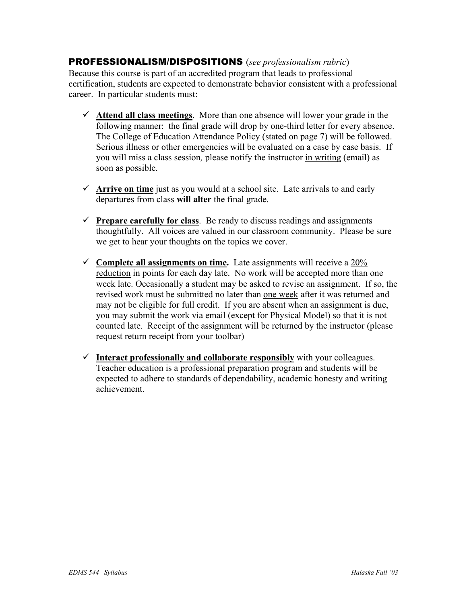## PROFESSIONALISM/DISPOSITIONS (*see professionalism rubric*)

Because this course is part of an accredited program that leads to professional certification, students are expected to demonstrate behavior consistent with a professional career. In particular students must:

- $\checkmark$  Attend all class meetings. More than one absence will lower your grade in the following manner: the final grade will drop by one-third letter for every absence. The College of Education Attendance Policy (stated on page 7) will be followed. Serious illness or other emergencies will be evaluated on a case by case basis. If you will miss a class session*,* please notify the instructor in writing (email) as soon as possible.
- $\checkmark$  Arrive on time just as you would at a school site. Late arrivals to and early departures from class **will alter** the final grade.
- $\checkmark$  **Prepare carefully for class**. Be ready to discuss readings and assignments thoughtfully. All voices are valued in our classroom community. Please be sure we get to hear your thoughts on the topics we cover.
- $\checkmark$  Complete all assignments on time. Late assignments will receive a 20% reduction in points for each day late. No work will be accepted more than one week late. Occasionally a student may be asked to revise an assignment. If so, the revised work must be submitted no later than one week after it was returned and may not be eligible for full credit. If you are absent when an assignment is due, you may submit the work via email (except for Physical Model) so that it is not counted late. Receipt of the assignment will be returned by the instructor (please request return receipt from your toolbar)
- $\checkmark$  Interact professionally and collaborate responsibly with your colleagues. Teacher education is a professional preparation program and students will be expected to adhere to standards of dependability, academic honesty and writing achievement.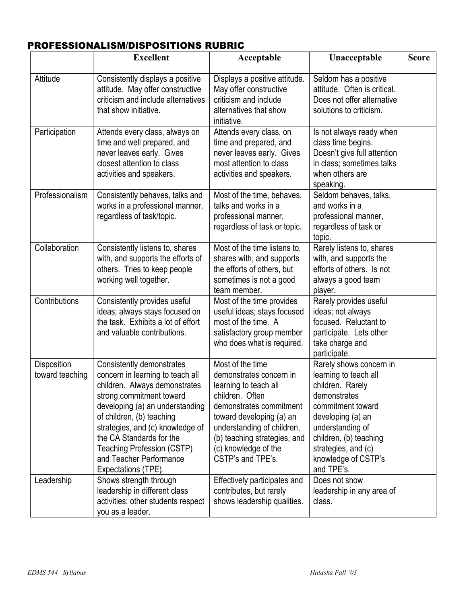# PROFESSIONALISM/DISPOSITIONS RUBRIC

|                                       | <b>Excellent</b>                                                                                                                                                                                                                                                                                                                           | Acceptable                                                                                                                                                                                                                                                | Unacceptable                                                                                                                                                                                                                             | <b>Score</b> |
|---------------------------------------|--------------------------------------------------------------------------------------------------------------------------------------------------------------------------------------------------------------------------------------------------------------------------------------------------------------------------------------------|-----------------------------------------------------------------------------------------------------------------------------------------------------------------------------------------------------------------------------------------------------------|------------------------------------------------------------------------------------------------------------------------------------------------------------------------------------------------------------------------------------------|--------------|
| Attitude                              | Consistently displays a positive<br>attitude. May offer constructive<br>criticism and include alternatives<br>that show initiative.                                                                                                                                                                                                        | Displays a positive attitude.<br>May offer constructive<br>criticism and include<br>alternatives that show<br>initiative.                                                                                                                                 | Seldom has a positive<br>attitude. Often is critical.<br>Does not offer alternative<br>solutions to criticism.                                                                                                                           |              |
| Participation                         | Attends every class, always on<br>time and well prepared, and<br>never leaves early. Gives<br>closest attention to class<br>activities and speakers.                                                                                                                                                                                       | Attends every class, on<br>time and prepared, and<br>never leaves early. Gives<br>most attention to class<br>activities and speakers.                                                                                                                     | Is not always ready when<br>class time begins.<br>Doesn't give full attention<br>in class; sometimes talks<br>when others are<br>speaking.                                                                                               |              |
| Professionalism                       | Consistently behaves, talks and<br>works in a professional manner,<br>regardless of task/topic.                                                                                                                                                                                                                                            | Most of the time, behaves,<br>talks and works in a<br>professional manner,<br>regardless of task or topic.                                                                                                                                                | Seldom behaves, talks,<br>and works in a<br>professional manner,<br>regardless of task or<br>topic.                                                                                                                                      |              |
| Collaboration                         | Consistently listens to, shares<br>with, and supports the efforts of<br>others. Tries to keep people<br>working well together.                                                                                                                                                                                                             | Most of the time listens to,<br>shares with, and supports<br>the efforts of others, but<br>sometimes is not a good<br>team member.                                                                                                                        | Rarely listens to, shares<br>with, and supports the<br>efforts of others. Is not<br>always a good team<br>player.                                                                                                                        |              |
| Contributions                         | Consistently provides useful<br>ideas; always stays focused on<br>the task. Exhibits a lot of effort<br>and valuable contributions.                                                                                                                                                                                                        | Most of the time provides<br>useful ideas; stays focused<br>most of the time. A<br>satisfactory group member<br>who does what is required.                                                                                                                | Rarely provides useful<br>ideas; not always<br>focused. Reluctant to<br>participate. Lets other<br>take charge and<br>participate.                                                                                                       |              |
| <b>Disposition</b><br>toward teaching | Consistently demonstrates<br>concern in learning to teach all<br>children. Always demonstrates<br>strong commitment toward<br>developing (a) an understanding<br>of children, (b) teaching<br>strategies, and (c) knowledge of<br>the CA Standards for the<br>Teaching Profession (CSTP)<br>and Teacher Performance<br>Expectations (TPE). | Most of the time<br>demonstrates concern in<br>learning to teach all<br>children. Often<br>demonstrates commitment<br>toward developing (a) an<br>understanding of children,<br>(b) teaching strategies, and<br>(c) knowledge of the<br>CSTP's and TPE's. | Rarely shows concern in<br>learning to teach all<br>children. Rarely<br>demonstrates<br>commitment toward<br>developing (a) an<br>understanding of<br>children, (b) teaching<br>strategies, and (c)<br>knowledge of CSTP's<br>and TPE's. |              |
| Leadership                            | Shows strength through<br>leadership in different class<br>activities; other students respect<br>you as a leader.                                                                                                                                                                                                                          | Effectively participates and<br>contributes, but rarely<br>shows leadership qualities.                                                                                                                                                                    | Does not show<br>leadership in any area of<br>class.                                                                                                                                                                                     |              |